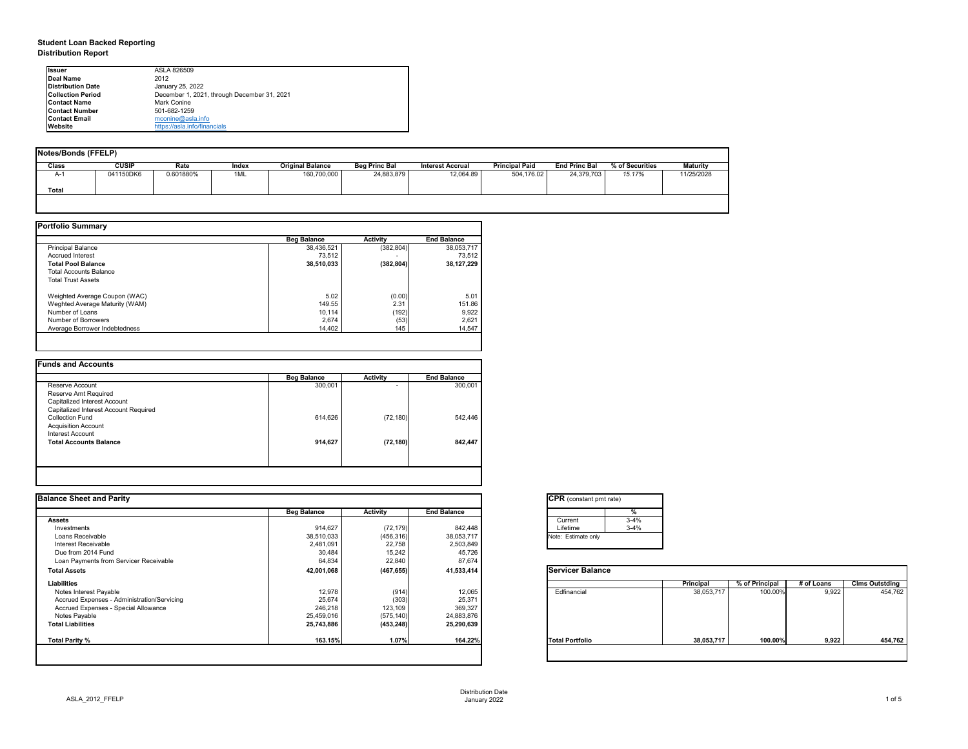## **Student Loan Backed Reporting Distribution Report**

| Notes/Bonds (FFELP) |              |           |       |                         |                      |                         |                       |                      |                 |                 |
|---------------------|--------------|-----------|-------|-------------------------|----------------------|-------------------------|-----------------------|----------------------|-----------------|-----------------|
| <b>Class</b>        | <b>CUSIP</b> | Rate      | Index | <b>Original Balance</b> | <b>Beg Princ Bal</b> | <b>Interest Accrual</b> | <b>Principal Paid</b> | <b>End Princ Bal</b> | % of Securities | <b>Maturity</b> |
| A-1                 | 041150DK6    | 0.601880% | 1ML   | 160,700,000             | 24,883,879           | 12,064.89               | 504,176.02            | 24,379,703           | 15.17%          | 11/25/2028      |
| <b>Total</b>        |              |           |       |                         |                      |                         |                       |                      |                 |                 |
|                     |              |           |       |                         |                      |                         |                       |                      |                 |                 |

|                                | <b>Beg Balance</b> | <b>Activity</b> | <b>End Balance</b> |
|--------------------------------|--------------------|-----------------|--------------------|
| <b>Principal Balance</b>       | 38,436,521         | (382, 804)      | 38,053,717         |
| <b>Accrued Interest</b>        | 73,512             |                 | 73,512             |
| <b>Total Pool Balance</b>      | 38,510,033         | (382, 804)      | 38,127,229         |
| <b>Total Accounts Balance</b>  |                    |                 |                    |
| <b>Total Trust Assets</b>      |                    |                 |                    |
| Weighted Average Coupon (WAC)  | 5.02               | (0.00)          | 5.01               |
| Weghted Average Maturity (WAM) | 149.55             | 2.31            | 151.86             |
| Number of Loans                | 10,114             | (192)           | 9,922              |
| Number of Borrowers            | 2,674              | (53)            | 2,621              |
| Average Borrower Indebtedness  | 14,402             | 145             | 14,547             |

| <b>Funds and Accounts</b>             |                    |                          |                    |
|---------------------------------------|--------------------|--------------------------|--------------------|
|                                       | <b>Beg Balance</b> | <b>Activity</b>          | <b>End Balance</b> |
| Reserve Account                       | 300,001            | $\overline{\phantom{0}}$ | 300,001            |
| Reserve Amt Required                  |                    |                          |                    |
| Capitalized Interest Account          |                    |                          |                    |
| Capitalized Interest Account Required |                    |                          |                    |
| <b>Collection Fund</b>                | 614,626            | (72, 180)                | 542,446            |
| <b>Acquisition Account</b>            |                    |                          |                    |
| Interest Account                      |                    |                          |                    |
| <b>Total Accounts Balance</b>         | 914,627            | (72, 180)                | 842,447            |
|                                       |                    |                          |                    |
|                                       |                    |                          |                    |
|                                       |                    |                          |                    |

| <b>Ilssuer</b>           | ASLA 826509                                 |
|--------------------------|---------------------------------------------|
| Deal Name                | 2012                                        |
| <b>Distribution Date</b> | January 25, 2022                            |
| <b>Collection Period</b> | December 1, 2021, through December 31, 2021 |
| <b>Contact Name</b>      | Mark Conine                                 |
| <b>Contact Number</b>    | 501-682-1259                                |
| <b>Contact Email</b>     | $m$ conine@asla.info                        |
| <b>IWebsite</b>          | https://asla.info/financials                |

| <b>Balance Sheet and Parity</b>             |                    |                 |                    | <b>CPR</b> (constant pmt rate) |            |                |            |                       |
|---------------------------------------------|--------------------|-----------------|--------------------|--------------------------------|------------|----------------|------------|-----------------------|
|                                             | <b>Beg Balance</b> | <b>Activity</b> | <b>End Balance</b> | %                              |            |                |            |                       |
| <b>Assets</b>                               |                    |                 |                    | $3 - 4%$<br>Current            |            |                |            |                       |
| Investments                                 | 914,627            | (72, 179)       | 842,448            | $3 - 4%$<br>Lifetime           |            |                |            |                       |
| Loans Receivable                            | 38,510,033         | (456, 316)      | 38,053,717         | Note: Estimate only            |            |                |            |                       |
| <b>Interest Receivable</b>                  | 2,481,091          | 22,758          | 2,503,849          |                                |            |                |            |                       |
| Due from 2014 Fund                          | 30,484             | 15,242          | 45,726             |                                |            |                |            |                       |
| Loan Payments from Servicer Receivable      | 64,834             | 22,840          | 87,674             |                                |            |                |            |                       |
| <b>Total Assets</b>                         | 42,001,068         | (467, 655)      | 41,533,414         | <b>Servicer Balance</b>        |            |                |            |                       |
| <b>Liabilities</b>                          |                    |                 |                    |                                | Principal  | % of Principal | # of Loans | <b>Clms Outstding</b> |
| Notes Interest Payable                      | 12,978             | (914)           | 12,065             | Edfinancial                    | 38,053,717 | 100.00%        | 9,922      | 454,762               |
| Accrued Expenses - Administration/Servicing | 25,674             | (303)           | 25,371             |                                |            |                |            |                       |
| Accrued Expenses - Special Allowance        | 246,218            | 123,109         | 369,327            |                                |            |                |            |                       |
| Notes Payable                               | 25,459,016         | (575, 140)      | 24,883,876         |                                |            |                |            |                       |
| <b>Total Liabilities</b>                    | 25,743,886         | (453, 248)      | 25,290,639         |                                |            |                |            |                       |
| Total Parity %                              | 163.15%            | 1.07%           | 164.22%            | <b>Total Portfolio</b>         | 38,053,717 | 100.00%        | 9,922      | 454,762               |

| tant pmt rate) |          |  |  |  |  |  |  |  |
|----------------|----------|--|--|--|--|--|--|--|
|                | %        |  |  |  |  |  |  |  |
|                | $3 - 4%$ |  |  |  |  |  |  |  |
|                | $3 - 4%$ |  |  |  |  |  |  |  |
| te only        |          |  |  |  |  |  |  |  |
|                |          |  |  |  |  |  |  |  |

|      | <b>Principal</b> | % of Principal | # of Loans | <b>Clms Outstding</b> |
|------|------------------|----------------|------------|-----------------------|
| al   | 38,053,717       | 100.00%        | 9,922      | 454,762               |
| oilc | 38,053,717       | 100.00%        | 9,922      | 454,762               |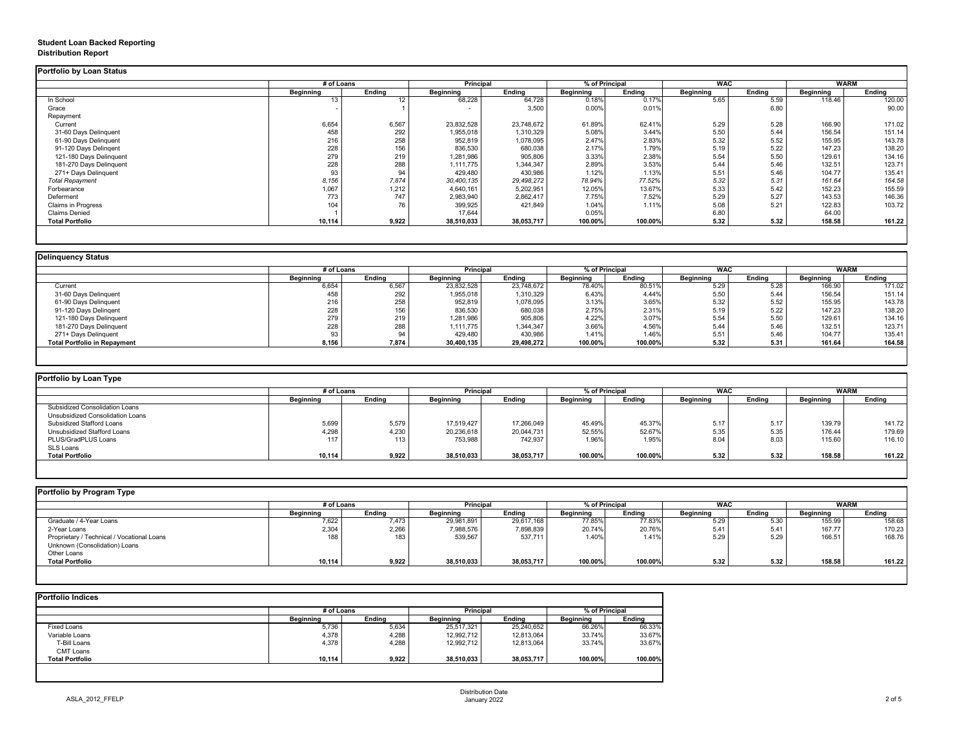## **Student Loan Backed Reporting Distribution Report**

### **Delinquency Status**

|                           | # of Loans       |                 | <b>Principal</b> |               | % of Principal   |               | <b>WAC</b>       |               | <b>WARM</b>      |               |
|---------------------------|------------------|-----------------|------------------|---------------|------------------|---------------|------------------|---------------|------------------|---------------|
|                           | <b>Beginning</b> | <b>Ending</b>   | <b>Beginning</b> | <b>Ending</b> | <b>Beginning</b> | <b>Ending</b> | <b>Beginning</b> | <b>Ending</b> | <b>Beginning</b> | <b>Ending</b> |
| In School                 | 13               | 12 <sup>°</sup> | 68,228           | 64,728        | 0.18%            | 0.17%         | 5.65             | 5.59          | 118.46           | 120.00        |
| Grace                     |                  |                 | $\blacksquare$   | 3,500         | 0.00%            | 0.01%         |                  | 6.80          |                  | 90.00         |
| Repayment                 |                  |                 |                  |               |                  |               |                  |               |                  |               |
| Current                   | 6,654            | 6,567           | 23,832,528       | 23,748,672    | 61.89%           | 62.41%        | 5.29             | 5.28          | 166.90           | 171.02        |
| 31-60 Days Delinquent     | 458              | 292             | 1,955,018        | 1,310,329     | 5.08%            | 3.44%         | 5.50             | 5.44          | 156.54           | 151.14        |
| 61-90 Days Delinquent     | 216              | 258             | 952,819          | 1,078,095     | 2.47%            | 2.83%         | 5.32             | 5.52          | 155.95           | 143.78        |
| 91-120 Days Delingent     | 228              | 156             | 836,530          | 680,038       | 2.17%            | 1.79%         | 5.19             | 5.22          | 147.23           | 138.20        |
| 121-180 Days Delinquent   | 279              | 219             | 1,281,986        | 905,806       | 3.33%            | 2.38%         | 5.54             | 5.50          | 129.61           | 134.16        |
| 181-270 Days Delinquent   | 228              | 288             | 1,111,775        | 1,344,347     | 2.89%            | 3.53%         | 5.44             | 5.46          | 132.51           | 123.71        |
| 271+ Days Delinquent      | 93               | 94              | 429,480          | 430,986       | 1.12%            | 1.13%         | 5.51             | 5.46          | 104.77           | 135.41        |
| <b>Total Repayment</b>    | 8,156            | 7,874           | 30,400,135       | 29,498,272    | 78.94%           | 77.52%        | 5.32             | 5.31          | 161.64           | 164.58        |
| Forbearance               | 1,067            | 1,212           | 4,640,161        | 5,202,951     | 12.05%           | 13.67%        | 5.33             | 5.42          | 152.23           | 155.59        |
| Deferment                 | 773              | 747             | 2,983,940        | 2,862,417     | 7.75%            | 7.52%         | 5.29             | 5.27          | 143.53           | 146.36        |
| <b>Claims in Progress</b> | 104              | 76              | 399,925          | 421,849       | 1.04%            | 1.11%         | 5.08             | 5.21          | 122.83           | 103.72        |
| <b>Claims Denied</b>      |                  |                 | 17,644           |               | 0.05%            |               | 6.80             |               | 64.00            |               |
| <b>Total Portfolio</b>    | 10,114           | 9,922           | 38,510,033       | 38,053,717    | 100.00%          | 100.00%       | 5.32             | 5.32          | 158.58           | 161.22        |

|                                     |                  | # of Loans    |                  | <b>Principal</b> |                  | % of Principal |                  | <b>WAC</b>    |                  | WARM          |  |
|-------------------------------------|------------------|---------------|------------------|------------------|------------------|----------------|------------------|---------------|------------------|---------------|--|
|                                     | <b>Beginning</b> | <b>Ending</b> | <b>Beginning</b> | <b>Ending</b>    | <b>Beginning</b> | <b>Ending</b>  | <b>Beginning</b> | <b>Ending</b> | <b>Beginning</b> | <b>Ending</b> |  |
| Current                             | 6,654            | 6,567         | 23,832,528       | 23,748,672       | 78.40%           | 80.51%         | 5.29             | 5.28          | 166.90           | 171.02        |  |
| 31-60 Days Delinquent               | 458              | 292           | 1,955,018        | 1,310,329        | 6.43%            | 4.44%          | 5.50             | 5.44          | 156.54           | 151.14        |  |
| 61-90 Days Delinquent               | 216              | 258           | 952,819          | 1,078,095        | 3.13%            | 3.65%          | 5.32             | 5.52          | 155.95           | 143.78        |  |
| 91-120 Days Delingent               | 228              | 156           | 836,530          | 680,038          | 2.75%            | 2.31%          | 5.19             | 5.22          | 147.23           | 138.20        |  |
| 121-180 Days Delinquent             | 279              | 219           | 1,281,986        | 905,806          | 4.22%            | 3.07%          | 5.54             | 5.50          | 129.61           | 134.16        |  |
| 181-270 Days Delinquent             | 228              | 288           | 1,111,775        | 1,344,347        | 3.66%            | 4.56%          | 5.44             | 5.46          | 132.51           | 123.71        |  |
| 271+ Days Delinquent                | 93               | 94            | 429,480          | 430,986          | 1.41%            | 1.46%          | 5.51             | 5.46          | 104.77           | 135.41        |  |
| <b>Total Portfolio in Repayment</b> | 8,156            | 7,874         | 30,400,135       | 29,498,272       | 100.00%          | 100.00%        | 5.32             | 5.31          | 161.64           | 164.58        |  |

| <b>Portfolio by Loan Type</b>           |                  |               |                  |               |                  |               |                  |               |                  |               |
|-----------------------------------------|------------------|---------------|------------------|---------------|------------------|---------------|------------------|---------------|------------------|---------------|
|                                         | # of Loans       |               | <b>Principal</b> |               | % of Principal   |               | <b>WAC</b>       |               | <b>WARM</b>      |               |
|                                         | <b>Beginning</b> | <b>Ending</b> | <b>Beginning</b> | <b>Ending</b> | <b>Beginning</b> | <b>Ending</b> | <b>Beginning</b> | <b>Ending</b> | <b>Beginning</b> | <b>Ending</b> |
| <b>Subsidized Consolidation Loans</b>   |                  |               |                  |               |                  |               |                  |               |                  |               |
| <b>Unsubsidized Consolidation Loans</b> |                  |               |                  |               |                  |               |                  |               |                  |               |
| <b>Subsidized Stafford Loans</b>        | 5,699            | 5,579         | 17,519,427       | 17,266,049    | 45.49%           | 45.37%        | 5.17             | 5.17          | 139.79           | 141.72        |
| Unsubsidized Stafford Loans             | 4,298            | 4,230         | 20,236,618       | 20,044,731    | 52.55%           | 52.67%        | 5.35             | 5.35          | 176.44           | 179.69        |
| PLUS/GradPLUS Loans                     | 117              | 113           | 753,988          | 742,937       | 1.96%            | 1.95%         | 8.04             | 8.03          | 115.60           | 116.10        |
| SLS Loans                               |                  |               |                  |               |                  |               |                  |               |                  |               |
| <b>Total Portfolio</b>                  | 10,114           | 9,922         | 38,510,033       | 38,053,717    | 100.00%          | 100.00%       | 5.32             | 5.32          | 158.58           | 161.22        |

|  |  |  |  | Portfolio by Program Type |  |
|--|--|--|--|---------------------------|--|
|--|--|--|--|---------------------------|--|

| <b>Portfolio by Program Type</b>           |                  |               |                  |                  |           |                |                  |               |                  |               |
|--------------------------------------------|------------------|---------------|------------------|------------------|-----------|----------------|------------------|---------------|------------------|---------------|
|                                            |                  | # of Loans    |                  | <b>Principal</b> |           | % of Principal |                  | <b>WAC</b>    |                  | <b>WARM</b>   |
|                                            | <b>Beginning</b> | <b>Ending</b> | <b>Beginning</b> | Ending           | Beginning | <b>Ending</b>  | <b>Beginning</b> | <b>Ending</b> | <b>Beginning</b> | <b>Ending</b> |
| Graduate / 4-Year Loans                    | 7,622            | 7,473         | 29,981,891       | 29,617,168       | 77.85%    | 77.83%         | 5.29             | 5.30          | 155.99           | 158.68        |
| 2-Year Loans                               | 2,304            | 2,266         | 7,988,576        | 7,898,839        | 20.74%    | 20.76%         | 5.41             | 5.41          | 167.77           | 170.23        |
| Proprietary / Technical / Vocational Loans | 188              | 183           | 539,567          | 537,711          | 1.40%     | 1.41%          | 5.29             | 5.29          | 166.51           | 168.76        |
| Unknown (Consolidation) Loans              |                  |               |                  |                  |           |                |                  |               |                  |               |
| Other Loans                                |                  |               |                  |                  |           |                |                  |               |                  |               |
| <b>Total Portfolio</b>                     | 10,114           | 9,922         | 38,510,033       | 38,053,717       | 100.00%   | 100.00%        | 5.32             | 5.32          | 158.58           | 161.22        |
|                                            |                  |               |                  |                  |           |                |                  |               |                  |               |

|                        |                  | # of Loans    |                  | <b>Principal</b> |                  | % of Principal |  |
|------------------------|------------------|---------------|------------------|------------------|------------------|----------------|--|
|                        | <b>Beginning</b> | <b>Ending</b> | <b>Beginning</b> | <b>Ending</b>    | <b>Beginning</b> | <b>Ending</b>  |  |
| <b>Fixed Loans</b>     | 5,736            | 5,634         | 25,517,321       | 25,240,652       | 66.26%           | 66.33%         |  |
| Variable Loans         | 4,378            | 4,288         | 12,992,712       | 12,813,064       | 33.74%           | 33.67%         |  |
| T-Bill Loans           | 4,378            | 4,288         | 12,992,712       | 12,813,064       | 33.74%           | 33.67%         |  |
| <b>CMT Loans</b>       |                  |               |                  |                  |                  |                |  |
| <b>Total Portfolio</b> | 10,114           | 9,922         | 38,510,033       | 38,053,717       | 100.00%          | 100.00%        |  |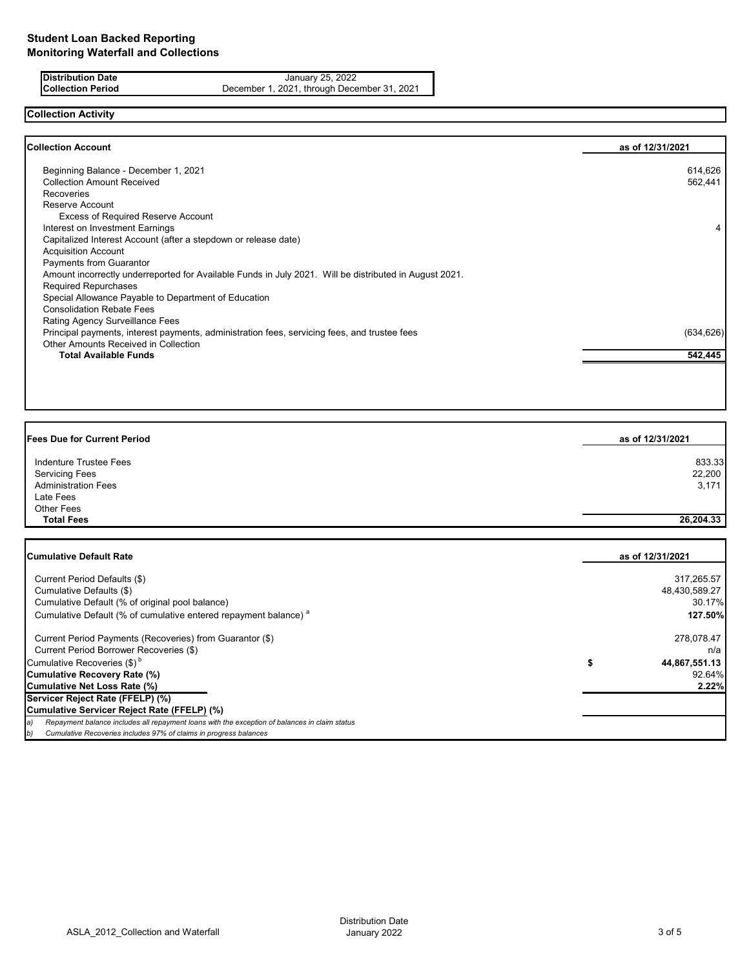**Distribution Date** January 25, 2022<br>**Collection Period** December 1, 2021, through Decem December 1, 2021, through December 31, 2021

# **Collection Activity**

| <b>Collection Account</b>                                                                              | as of 12/31/2021 |
|--------------------------------------------------------------------------------------------------------|------------------|
| Beginning Balance - December 1, 2021                                                                   | 614,626          |
| <b>Collection Amount Received</b>                                                                      | 562,441          |
| <b>Recoveries</b>                                                                                      |                  |
| Reserve Account                                                                                        |                  |
| <b>Excess of Required Reserve Account</b>                                                              |                  |
| Interest on Investment Earnings                                                                        | 4                |
| Capitalized Interest Account (after a stepdown or release date)                                        |                  |
| <b>Acquisition Account</b>                                                                             |                  |
| <b>Payments from Guarantor</b>                                                                         |                  |
| Amount incorrectly underreported for Available Funds in July 2021. Will be distributed in August 2021. |                  |
| <b>Required Repurchases</b>                                                                            |                  |
| Special Allowance Payable to Department of Education                                                   |                  |
| <b>Consolidation Rebate Fees</b>                                                                       |                  |
| Rating Agency Surveillance Fees                                                                        |                  |
| Principal payments, interest payments, administration fees, servicing fees, and trustee fees           | (634, 626)       |
| <b>Other Amounts Received in Collection</b>                                                            |                  |
| <b>Total Available Funds</b>                                                                           | 542,445          |
|                                                                                                        |                  |

| <b>Fees Due for Current Period</b> | as of 12/31/2021 |  |
|------------------------------------|------------------|--|
| Indenture Trustee Fees             | 833.33           |  |
| <b>Servicing Fees</b>              | 22,200           |  |
| <b>Administration Fees</b>         | 3,171            |  |
| Late Fees                          |                  |  |
| Other Fees                         |                  |  |
| <b>Total Fees</b>                  | 26,204.33        |  |

| <b>Cumulative Default Rate</b>                                                                      | as of 12/31/2021 |
|-----------------------------------------------------------------------------------------------------|------------------|
|                                                                                                     |                  |
| Current Period Defaults (\$)                                                                        | 317,265.57       |
| Cumulative Defaults (\$)                                                                            | 48,430,589.27    |
| Cumulative Default (% of original pool balance)                                                     | 30.17%           |
| Cumulative Default (% of cumulative entered repayment balance) <sup>a</sup>                         | 127.50%          |
| Current Period Payments (Recoveries) from Guarantor (\$)                                            | 278,078.47       |
| Current Period Borrower Recoveries (\$)                                                             | n/a              |
| Cumulative Recoveries (\$) <sup>b</sup>                                                             | 44,867,551.13    |
| <b>Cumulative Recovery Rate (%)</b>                                                                 | 92.64%           |
| <b>Cumulative Net Loss Rate (%)</b>                                                                 | 2.22%            |
| Servicer Reject Rate (FFELP) (%)                                                                    |                  |
| Cumulative Servicer Reject Rate (FFELP) (%)                                                         |                  |
| Repayment balance includes all repayment loans with the exception of balances in claim status<br>э) |                  |
| Cumulative Recoveries includes 97% of claims in progress balances<br>b)                             |                  |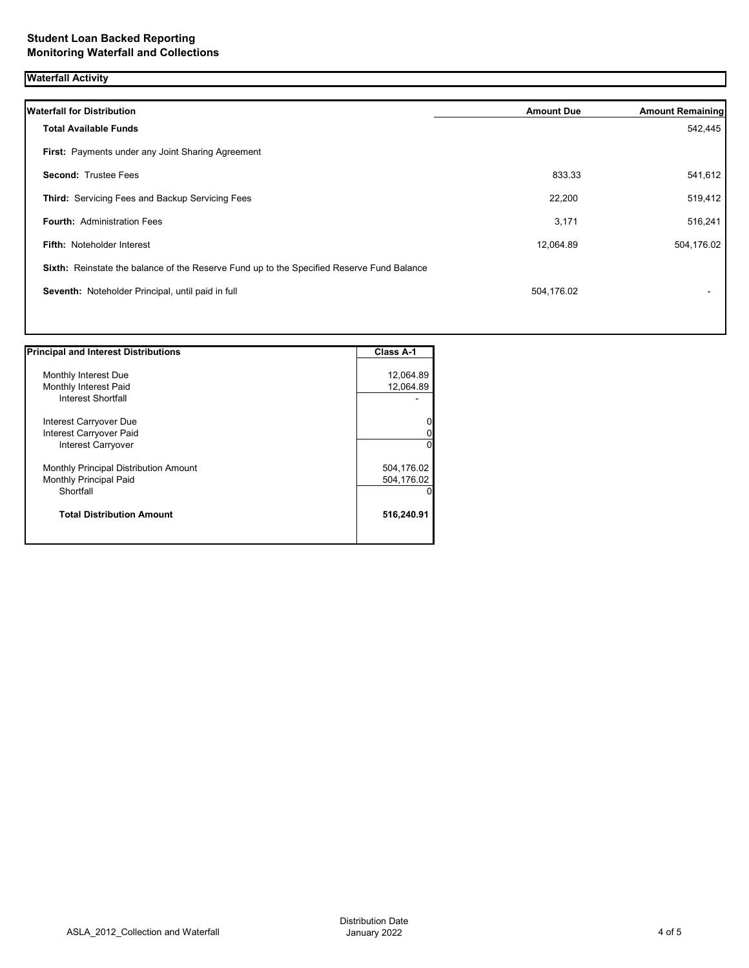## **Waterfall Activity**

| <b>Waterfall for Distribution</b>                                                         | <b>Amount Due</b> | <b>Amount Remaining</b> |
|-------------------------------------------------------------------------------------------|-------------------|-------------------------|
| <b>Total Available Funds</b>                                                              |                   | 542,445                 |
| First: Payments under any Joint Sharing Agreement                                         |                   |                         |
| <b>Second: Trustee Fees</b>                                                               | 833.33            | 541,612                 |
| Third: Servicing Fees and Backup Servicing Fees                                           | 22,200            | 519,412                 |
| <b>Fourth: Administration Fees</b>                                                        | 3,171             | 516,241                 |
| Fifth: Noteholder Interest                                                                | 12,064.89         | 504,176.02              |
| Sixth: Reinstate the balance of the Reserve Fund up to the Specified Reserve Fund Balance |                   |                         |
| Seventh: Noteholder Principal, until paid in full                                         | 504,176.02        |                         |
|                                                                                           |                   |                         |

| <b>Principal and Interest Distributions</b> | Class A-1  |
|---------------------------------------------|------------|
|                                             |            |
| Monthly Interest Due                        | 12,064.89  |
| Monthly Interest Paid                       | 12,064.89  |
| Interest Shortfall                          |            |
| Interest Carryover Due                      | 0          |
| Interest Carryover Paid                     | 0          |
| Interest Carryover                          | $\Omega$   |
| Monthly Principal Distribution Amount       | 504,176.02 |
| <b>Monthly Principal Paid</b>               | 504,176.02 |
| Shortfall                                   | 0          |
| <b>Total Distribution Amount</b>            | 516,240.91 |
|                                             |            |